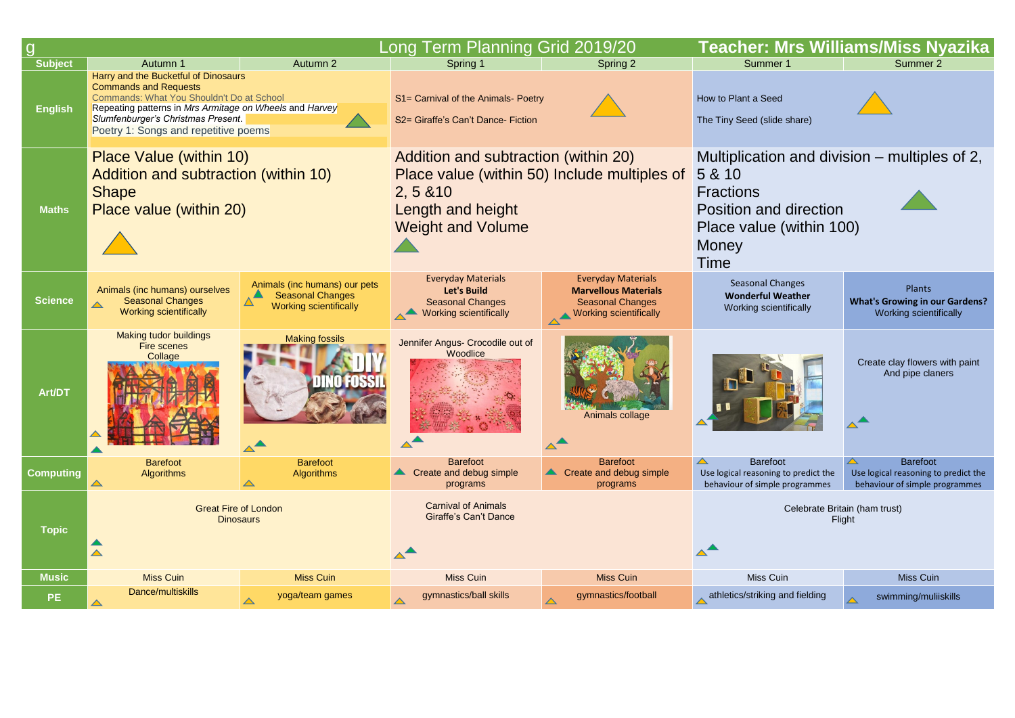|                                  |                                                                                                                                                                                                                                                                                    |                                                                                                        | Long Term Planning Grid 2019/20                                                                                                                    |                                                                                                                      | Teacher: Mrs Williams/Miss Nyazika                                                                                                                               |                                                                                                               |
|----------------------------------|------------------------------------------------------------------------------------------------------------------------------------------------------------------------------------------------------------------------------------------------------------------------------------|--------------------------------------------------------------------------------------------------------|----------------------------------------------------------------------------------------------------------------------------------------------------|----------------------------------------------------------------------------------------------------------------------|------------------------------------------------------------------------------------------------------------------------------------------------------------------|---------------------------------------------------------------------------------------------------------------|
| <b>Subject</b><br><b>English</b> | Autumn 2<br>Autumn 1<br>Harry and the Bucketful of Dinosaurs<br><b>Commands and Requests</b><br>Commands: What You Shouldn't Do at School<br>Repeating patterns in Mrs Armitage on Wheels and Harvey<br>Slumfenburger's Christmas Present.<br>Poetry 1: Songs and repetitive poems |                                                                                                        | Spring 1<br>S1= Carnival of the Animals- Poetry<br>S2= Giraffe's Can't Dance- Fiction                                                              | Spring 2                                                                                                             | Summer 1<br>How to Plant a Seed<br>The Tiny Seed (slide share)                                                                                                   | Summer 2                                                                                                      |
| <b>Maths</b>                     | <b>Place Value (within 10)</b><br>Addition and subtraction (within 10)<br><b>Shape</b><br>Place value (within 20)                                                                                                                                                                  |                                                                                                        | Addition and subtraction (within 20)<br>Place value (within 50) Include multiples of<br>2, 5 & 10<br>Length and height<br><b>Weight and Volume</b> |                                                                                                                      | Multiplication and division – multiples of 2,<br>5 & 10<br><b>Fractions</b><br>Position and direction<br>Place value (within 100)<br><b>Money</b><br><b>Time</b> |                                                                                                               |
| <b>Science</b>                   | Animals (inc humans) ourselves<br><b>Seasonal Changes</b><br><b>Working scientifically</b>                                                                                                                                                                                         | Animals (inc humans) our pets<br><b>Seasonal Changes</b><br><b>Working scientifically</b>              | <b>Everyday Materials</b><br><b>Let's Build</b><br><b>Seasonal Changes</b><br><b>Working scientifically</b>                                        | <b>Everyday Materials</b><br><b>Marvellous Materials</b><br><b>Seasonal Changes</b><br><b>Working scientifically</b> | <b>Seasonal Changes</b><br><b>Wonderful Weather</b><br>Working scientifically                                                                                    | Plants<br><b>What's Growing in our Gardens?</b><br><b>Working scientifically</b>                              |
| Art/DT                           | <b>Making tudor buildings</b><br><b>Fire scenes</b><br>Collage                                                                                                                                                                                                                     | <b>Making fossils</b><br><b>HAUTUSS</b><br><b>CANADA IN CONTRACTOR</b><br>$\triangle^{\blacktriangle}$ | Jennifer Angus- Crocodile out of<br>Woodlice                                                                                                       | Animals collage                                                                                                      |                                                                                                                                                                  | Create clay flowers with paint<br>And pipe claners                                                            |
| <b>Computing</b>                 | <b>Barefoot</b><br>Algorithms<br>$\blacktriangle$                                                                                                                                                                                                                                  | <b>Barefoot</b><br><b>Algorithms</b><br>$\triangle$                                                    | <b>Barefoot</b><br>Create and debug simple<br>programs                                                                                             | <b>Barefoot</b><br>Create and debug simple<br>programs                                                               | $\blacktriangle$<br><b>Barefoot</b><br>Use logical reasoning to predict the<br>behaviour of simple programmes                                                    | $\blacktriangle$<br><b>Barefoot</b><br>Use logical reasoning to predict the<br>behaviour of simple programmes |
| <b>Topic</b>                     | <b>Great Fire of London</b><br><b>Dinosaurs</b>                                                                                                                                                                                                                                    |                                                                                                        | <b>Carnival of Animals</b><br><b>Giraffe's Can't Dance</b>                                                                                         |                                                                                                                      | Celebrate Britain (ham trust)<br>Flight                                                                                                                          |                                                                                                               |
| <b>Music</b>                     | <b>Miss Cuin</b>                                                                                                                                                                                                                                                                   | <b>Miss Cuin</b>                                                                                       | <b>Miss Cuin</b>                                                                                                                                   | <b>Miss Cuin</b>                                                                                                     | Miss Cuin                                                                                                                                                        | Miss Cuin                                                                                                     |
| PE                               | Dance/multiskills                                                                                                                                                                                                                                                                  | yoga/team games<br>$\blacktriangle$                                                                    | gymnastics/ball skills                                                                                                                             | gymnastics/football                                                                                                  | athletics/striking and fielding                                                                                                                                  | swimming/muliiskills                                                                                          |